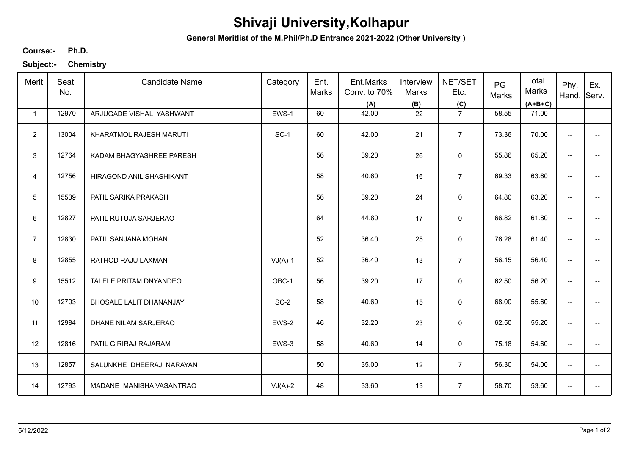## **Shivaji University,Kolhapur**

**General Meritlist of the M.Phil/Ph.D Entrance 2021-2022 (Other University )**

**Ph.D. Course:-**

**Subject:- Chemistry**

| Merit           | Seat<br>No. | <b>Candidate Name</b>    | Category  | Ent.<br>Marks | Ent.Marks<br>Conv. to 70%<br>(A) | Interview<br>Marks<br>(B) | NET/SET<br>Etc.<br>(C) | PG<br>Marks | Total<br>Marks<br>$(A+B+C)$ | Phy.<br>Hand.                       | Ex.<br>Serv.             |
|-----------------|-------------|--------------------------|-----------|---------------|----------------------------------|---------------------------|------------------------|-------------|-----------------------------|-------------------------------------|--------------------------|
| $\mathbf{1}$    | 12970       | ARJUGADE VISHAL YASHWANT | EWS-1     | 60            | 42.00                            | 22                        | $\overline{7}$         | 58.55       | 71.00                       | $\overline{\phantom{a}}$            | $\overline{\phantom{a}}$ |
| $\overline{2}$  | 13004       | KHARATMOL RAJESH MARUTI  | $SC-1$    | 60            | 42.00                            | 21                        | $\overline{7}$         | 73.36       | 70.00                       | $\overline{\phantom{a}}$            |                          |
| 3               | 12764       | KADAM BHAGYASHREE PARESH |           | 56            | 39.20                            | 26                        | $\mathsf 0$            | 55.86       | 65.20                       | --                                  |                          |
| $\overline{4}$  | 12756       | HIRAGOND ANIL SHASHIKANT |           | 58            | 40.60                            | 16                        | $\overline{7}$         | 69.33       | 63.60                       | $\overline{\phantom{a}}$            |                          |
| $5\phantom{.0}$ | 15539       | PATIL SARIKA PRAKASH     |           | 56            | 39.20                            | 24                        | 0                      | 64.80       | 63.20                       | $\overline{\phantom{a}}$            | --                       |
| 6               | 12827       | PATIL RUTUJA SARJERAO    |           | 64            | 44.80                            | 17                        | 0                      | 66.82       | 61.80                       | $\overline{\phantom{a}}$            | --                       |
| $\overline{7}$  | 12830       | PATIL SANJANA MOHAN      |           | 52            | 36.40                            | 25                        | 0                      | 76.28       | 61.40                       | $\overline{\phantom{a}}$            |                          |
| 8               | 12855       | RATHOD RAJU LAXMAN       | $VJ(A)-1$ | 52            | 36.40                            | 13                        | $\overline{7}$         | 56.15       | 56.40                       | $\overline{\phantom{a}}$            |                          |
| 9               | 15512       | TALELE PRITAM DNYANDEO   | OBC-1     | 56            | 39.20                            | 17                        | 0                      | 62.50       | 56.20                       | $\overline{\phantom{a}}$            |                          |
| 10              | 12703       | BHOSALE LALIT DHANANJAY  | $SC-2$    | 58            | 40.60                            | 15                        | $\mathsf 0$            | 68.00       | 55.60                       | --                                  |                          |
| 11              | 12984       | DHANE NILAM SARJERAO     | EWS-2     | 46            | 32.20                            | 23                        | $\mathsf 0$            | 62.50       | 55.20                       | $\overline{\phantom{a}}$            | $\qquad \qquad -$        |
| 12              | 12816       | PATIL GIRIRAJ RAJARAM    | EWS-3     | 58            | 40.60                            | 14                        | $\mathbf 0$            | 75.18       | 54.60                       | $\overline{\phantom{m}}$            | --                       |
| 13              | 12857       | SALUNKHE DHEERAJ NARAYAN |           | 50            | 35.00                            | 12                        | $\overline{7}$         | 56.30       | 54.00                       | $\overline{\phantom{a}}$            | $\overline{\phantom{a}}$ |
| 14              | 12793       | MADANE MANISHA VASANTRAO | $VJ(A)-2$ | 48            | 33.60                            | 13                        | $\overline{7}$         | 58.70       | 53.60                       | $\hspace{0.05cm}$ $\hspace{0.05cm}$ | --                       |